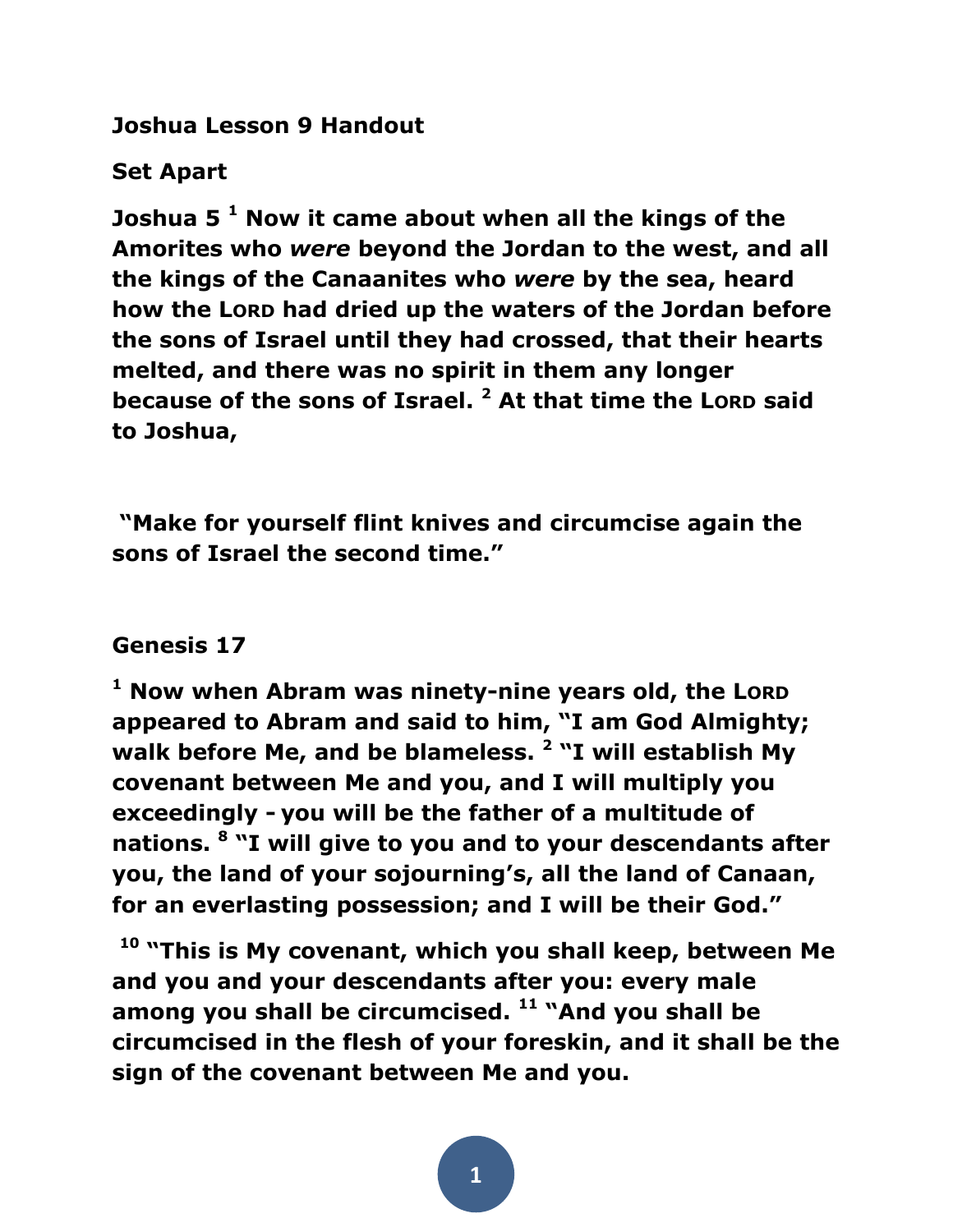**Joshua Lesson 9 Handout**

# **Set Apart**

**Joshua 5 <sup>1</sup> Now it came about when all the kings of the Amorites who** *were* **beyond the Jordan to the west, and all the kings of the Canaanites who** *were* **by the sea, heard how the LORD had dried up the waters of the Jordan before the sons of Israel until they had crossed, that their hearts melted, and there was no spirit in them any longer because of the sons of Israel. <sup>2</sup> At that time the LORD said to Joshua,**

**"Make for yourself flint knives and circumcise again the sons of Israel the second time."** 

### **Genesis 17**

**<sup>1</sup> Now when Abram was ninety-nine years old, the LORD appeared to Abram and said to him, "I am God Almighty; walk before Me, and be blameless. <sup>2</sup> "I will establish My covenant between Me and you, and I will multiply you exceedingly - you will be the father of a multitude of nations. <sup>8</sup> "I will give to you and to your descendants after you, the land of your sojourning's, all the land of Canaan, for an everlasting possession; and I will be their God."**

**<sup>10</sup> "This is My covenant, which you shall keep, between Me and you and your descendants after you: every male among you shall be circumcised. <sup>11</sup> "And you shall be circumcised in the flesh of your foreskin, and it shall be the sign of the covenant between Me and you.**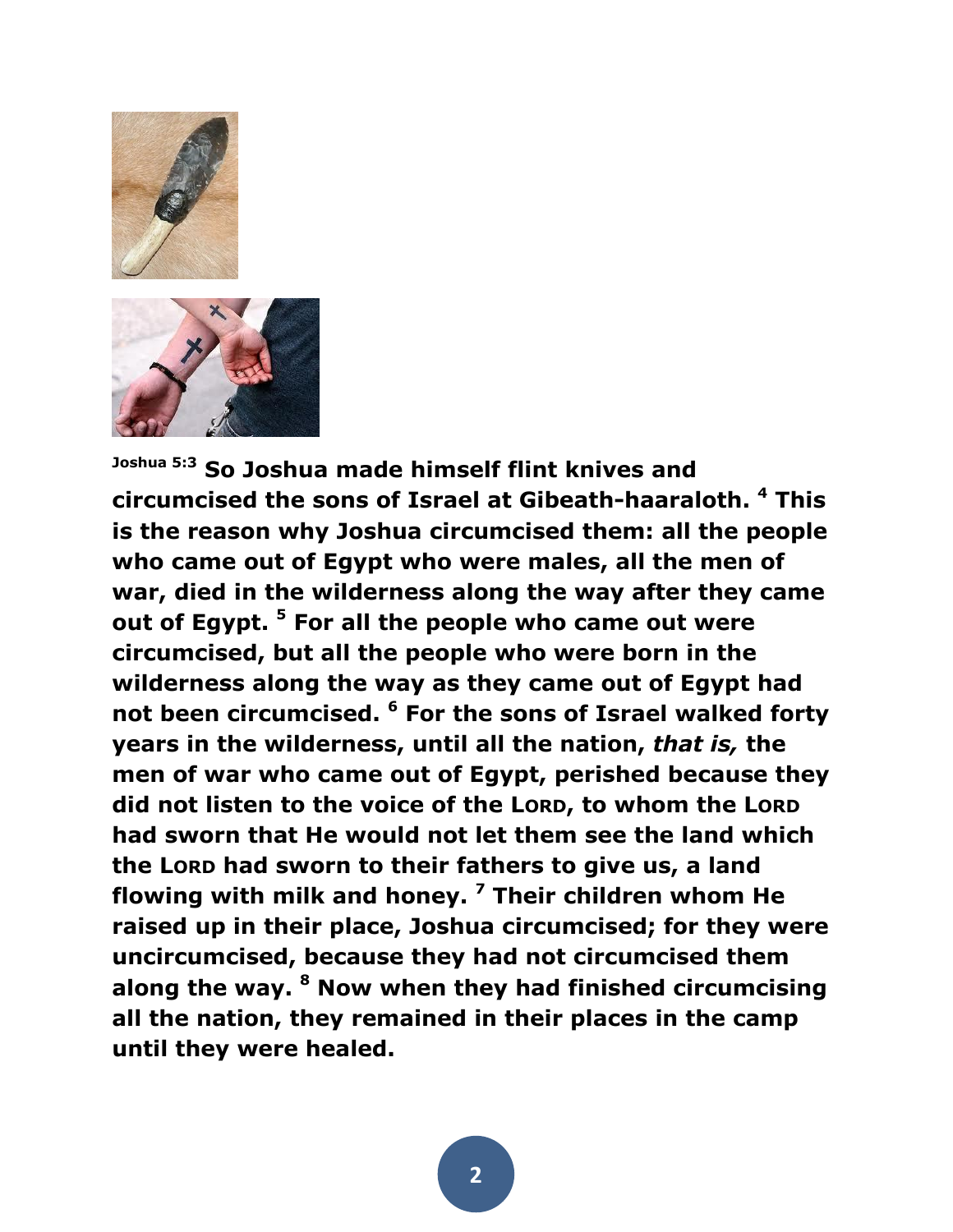

**Joshua 5:3 So Joshua made himself flint knives and circumcised the sons of Israel at Gibeath-haaraloth. <sup>4</sup> This is the reason why Joshua circumcised them: all the people who came out of Egypt who were males, all the men of war, died in the wilderness along the way after they came out of Egypt. <sup>5</sup> For all the people who came out were circumcised, but all the people who were born in the wilderness along the way as they came out of Egypt had not been circumcised. <sup>6</sup> For the sons of Israel walked forty years in the wilderness, until all the nation,** *that is,* **the men of war who came out of Egypt, perished because they did not listen to the voice of the LORD, to whom the LORD had sworn that He would not let them see the land which the LORD had sworn to their fathers to give us, a land flowing with milk and honey. <sup>7</sup> Their children whom He raised up in their place, Joshua circumcised; for they were uncircumcised, because they had not circumcised them along the way. <sup>8</sup> Now when they had finished circumcising all the nation, they remained in their places in the camp until they were healed.**